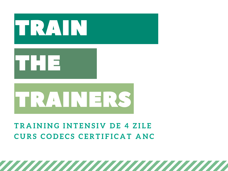

## TRAINING INTENSIV DE 4 ZILE CURS CODECS CERTIFICAT ANC

,,,,,,,,,,,,,,,,,,,,,,,,,,,,,,,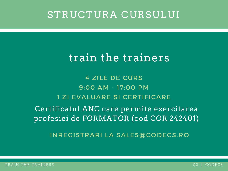# STRUCTURA CURSULUI

# train the trainers

4 ZILE DE CURS 9:00 AM - 17:00 PM 1 ZI EVALUARE SI CERTIFICARE

Certificatul ANC care permite exercitarea profesiei de FORMATOR (cod COR 242401)

INREGISTRARI LA SALES@CODECS.RO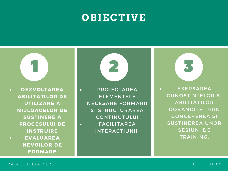# **OBIECTIVE**



PROIECTAREA ELEMENTELE NECESARE FORMARII SI STRUCTURAREA CONTINUTULUI FACILITAREA INTERACTIUNII



EXERSAREA CUNOSTINTELOR SI ABILITATILOR DOBANDITE PRIN CONCEPEREA SI SUSTINEREA UNOR SESIUNI DE TRAINING.

FORMARE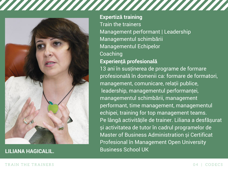

**Expertiză training** Train the trainers Management performant | Leadership Managementul schimbării Managementul Echipelor **Coaching** 

### **Experiență profesională**

13 ani în susținerea de programe de formare profesională în domenii ca: formare de formatori, management, comunicare, relații publice, leadership, managementul performanței, managementul schimbării, management performant, time management, managementul echipei, training for top management teams. Pe lângă activitățile de trainer. Liliana a desfășurat și activitatea de tutor în cadrul programelor de Master of Business Administration și Certificat Profesional în Management Open University Business School UK **LILIANA HAGICALIL.**

### TRAIN THE TRAINERS TRAINERS TRAINERS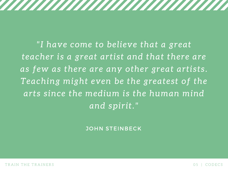"I have come to believe that a great teacher is a great artist and that there are as few as there are any other great artists. Teaching might even be the greatest of the arts since the medium is the human mind and spirit."

,,,,,,,,,,,,,,,,,,,,,,,,,,,,,,,,,,,

JOHN STEINBECK